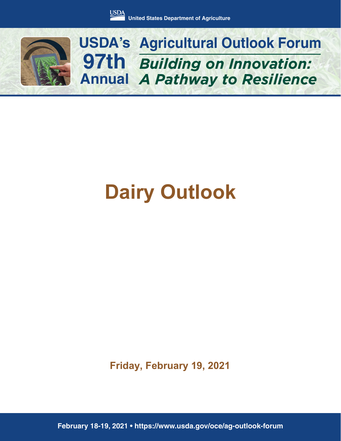

*Building on Innovation: A Pathway to Resilience* **USDA's Agricultural Outlook Forum 97th Annual**

# **Dairy Outlook**

**Friday, February 19, 2021**

**February 18-19, 2021 • https://www.usda.gov/oce/ag-outlook-forum**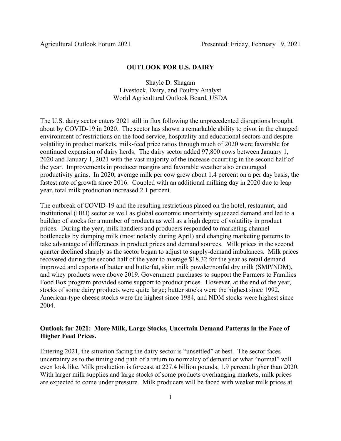#### **OUTLOOK FOR U.S. DAIRY**

Shayle D. Shagam Livestock, Dairy, and Poultry Analyst World Agricultural Outlook Board, USDA

The U.S. dairy sector enters 2021 still in flux following the unprecedented disruptions brought about by COVID-19 in 2020. The sector has shown a remarkable ability to pivot in the changed environment of restrictions on the food service, hospitality and educational sectors and despite volatility in product markets, milk-feed price ratios through much of 2020 were favorable for continued expansion of dairy herds. The dairy sector added 97,800 cows between January 1, 2020 and January 1, 2021 with the vast majority of the increase occurring in the second half of the year. Improvements in producer margins and favorable weather also encouraged productivity gains. In 2020, average milk per cow grew about 1.4 percent on a per day basis, the fastest rate of growth since 2016. Coupled with an additional milking day in 2020 due to leap year, total milk production increased 2.1 percent.

The outbreak of COVID-19 and the resulting restrictions placed on the hotel, restaurant, and institutional (HRI) sector as well as global economic uncertainty squeezed demand and led to a buildup of stocks for a number of products as well as a high degree of volatility in product prices. During the year, milk handlers and producers responded to marketing channel bottlenecks by dumping milk (most notably during April) and changing marketing patterns to take advantage of differences in product prices and demand sources. Milk prices in the second quarter declined sharply as the sector began to adjust to supply-demand imbalances. Milk prices recovered during the second half of the year to average \$18.32 for the year as retail demand improved and exports of butter and butterfat, skim milk powder/nonfat dry milk (SMP/NDM), and whey products were above 2019. Government purchases to support the Farmers to Families Food Box program provided some support to product prices. However, at the end of the year, stocks of some dairy products were quite large; butter stocks were the highest since 1992, American-type cheese stocks were the highest since 1984, and NDM stocks were highest since 2004.

## **Outlook for 2021: More Milk, Large Stocks, Uncertain Demand Patterns in the Face of Higher Feed Prices.**

Entering 2021, the situation facing the dairy sector is "unsettled" at best. The sector faces uncertainty as to the timing and path of a return to normalcy of demand or what "normal" will even look like. Milk production is forecast at 227.4 billion pounds, 1.9 percent higher than 2020. With larger milk supplies and large stocks of some products overhanging markets, milk prices are expected to come under pressure. Milk producers will be faced with weaker milk prices at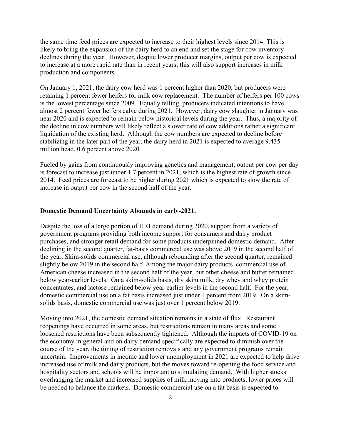the same time feed prices are expected to increase to their highest levels since 2014. This is likely to bring the expansion of the dairy herd to an end and set the stage for cow inventory declines during the year. However, despite lower producer margins, output per cow is expected to increase at a more rapid rate than in recent years; this will also support increases in milk production and components.

On January 1, 2021, the dairy cow herd was 1 percent higher than 2020, but producers were retaining 1 percent fewer heifers for milk cow replacement. The number of heifers per 100 cows is the lowest percentage since 2009. Equally telling, producers indicated intentions to have almost 2 percent fewer heifers calve during 2021. However, dairy cow slaughter in January was near 2020 and is expected to remain below historical levels during the year. Thus, a majority of the decline in cow numbers will likely reflect a slower rate of cow additions rather a significant liquidation of the existing herd. Although the cow numbers are expected to decline before stabilizing in the later part of the year, the dairy herd in 2021 is expected to average 9.435 million head, 0.6 percent above 2020.

Fueled by gains from continuously improving genetics and management, output per cow per day is forecast to increase just under 1.7 percent in 2021, which is the highest rate of growth since 2014. Feed prices are forecast to be higher during 2021 which is expected to slow the rate of increase in output per cow in the second half of the year.

#### **Domestic Demand Uncertainty Abounds in early-2021.**

Despite the loss of a large portion of HRI demand during 2020, support from a variety of government programs providing both income support for consumers and dairy product purchases, and stronger retail demand for some products underpinned domestic demand. After declining in the second quarter, fat-basis commercial use was above 2019 in the second half of the year. Skim-solids commercial use, although rebounding after the second quarter, remained slightly below 2019 in the second half. Among the major dairy products, commercial use of American cheese increased in the second half of the year, but other cheese and butter remained below year-earlier levels. On a skim-solids basis, dry skim milk, dry whey and whey protein concentrates, and lactose remained below year-earlier levels in the second half. For the year, domestic commercial use on a fat basis increased just under 1 percent from 2019. On a skimsolids basis, domestic commercial use was just over 1 percent below 2019.

Moving into 2021, the domestic demand situation remains in a state of flux. Restaurant reopenings have occurred in some areas, but restrictions remain in many areas and some loosened restrictions have been subsequently tightened. Although the impacts of COVID-19 on the economy in general and on dairy demand specifically are expected to diminish over the course of the year, the timing of restriction removals and any government programs remain uncertain. Improvements in income and lower unemployment in 2021 are expected to help drive increased use of milk and dairy products, but the moves toward re-opening the food service and hospitality sectors and schools will be important to stimulating demand. With higher stocks overhanging the market and increased supplies of milk moving into products, lower prices will be needed to balance the markets. Domestic commercial use on a fat basis is expected to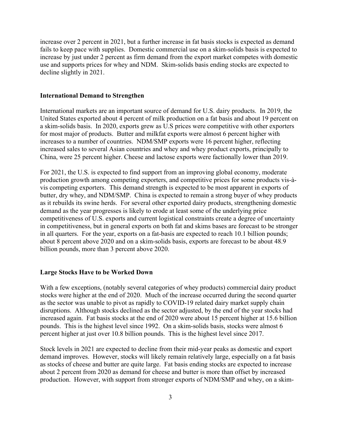increase over 2 percent in 2021, but a further increase in fat basis stocks is expected as demand fails to keep pace with supplies. Domestic commercial use on a skim-solids basis is expected to increase by just under 2 percent as firm demand from the export market competes with domestic use and supports prices for whey and NDM. Skim-solids basis ending stocks are expected to decline slightly in 2021.

#### **International Demand to Strengthen**

International markets are an important source of demand for U.S. dairy products. In 2019, the United States exported about 4 percent of milk production on a fat basis and about 19 percent on a skim-solids basis. In 2020, exports grew as U.S prices were competitive with other exporters for most major of products. Butter and milkfat exports were almost 6 percent higher with increases to a number of countries. NDM/SMP exports were 16 percent higher, reflecting increased sales to several Asian countries and whey and whey product exports, principally to China, were 25 percent higher. Cheese and lactose exports were factionally lower than 2019.

For 2021, the U.S. is expected to find support from an improving global economy, moderate production growth among competing exporters, and competitive prices for some products vis-àvis competing exporters. This demand strength is expected to be most apparent in exports of butter, dry whey, and NDM/SMP. China is expected to remain a strong buyer of whey products as it rebuilds its swine herds. For several other exported dairy products, strengthening domestic demand as the year progresses is likely to erode at least some of the underlying price competitiveness of U.S. exports and current logistical constraints create a degree of uncertainty in competitiveness, but in general exports on both fat and skims bases are forecast to be stronger in all quarters. For the year, exports on a fat-basis are expected to reach 10.1 billion pounds; about 8 percent above 2020 and on a skim-solids basis, exports are forecast to be about 48.9 billion pounds, more than 3 percent above 2020.

#### **Large Stocks Have to be Worked Down**

With a few exceptions, (notably several categories of whey products) commercial dairy product stocks were higher at the end of 2020. Much of the increase occurred during the second quarter as the sector was unable to pivot as rapidly to COVID-19 related dairy market supply chain disruptions. Although stocks declined as the sector adjusted, by the end of the year stocks had increased again. Fat basis stocks at the end of 2020 were about 15 percent higher at 15.6 billion pounds. This is the highest level since 1992. On a skim-solids basis, stocks were almost 6 percent higher at just over 10.8 billion pounds. This is the highest level since 2017.

Stock levels in 2021 are expected to decline from their mid-year peaks as domestic and export demand improves. However, stocks will likely remain relatively large, especially on a fat basis as stocks of cheese and butter are quite large. Fat basis ending stocks are expected to increase about 2 percent from 2020 as demand for cheese and butter is more than offset by increased production. However, with support from stronger exports of NDM/SMP and whey, on a skim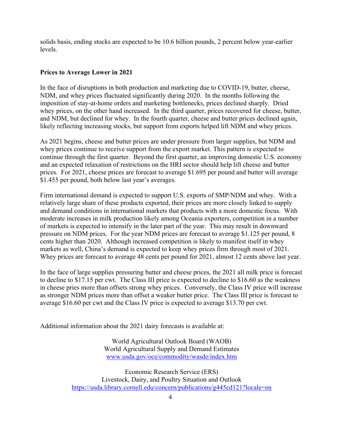solids basis, ending stocks are expected to be 10.6 billion pounds, 2 percent below year-earlier levels.

### **Prices to Average Lower in 2021**

In the face of disruptions in both production and marketing due to COVID-19, butter, cheese, NDM, and whey prices fluctuated significantly during 2020. In the months following the imposition of stay-at-home orders and marketing bottlenecks, prices declined sharply. Dried whey prices, on the other hand increased. In the third quarter, prices recovered for cheese, butter, and NDM, but declined for whey. In the fourth quarter, cheese and butter prices declined again, likely reflecting increasing stocks, but support from exports helped lift NDM and whey prices.

As 2021 begins, cheese and butter prices are under pressure from larger supplies, but NDM and whey prices continue to receive support from the export market. This pattern is expected to continue through the first quarter. Beyond the first quarter, an improving domestic U.S. economy and an expected relaxation of restrictions on the HRI sector should help lift cheese and butter prices. For 2021, cheese prices are forecast to average \$1.695 per pound and butter will average \$1.455 per pound, both below last year's averages.

Firm international demand is expected to support U.S. exports of SMP/NDM and whey. With a relatively large share of these products exported, their prices are more closely linked to supply and demand conditions in international markets that products with a more domestic focus. With moderate increases in milk production likely among Oceania exporters, competition in a number of markets is expected to intensify in the later part of the year. This may result in downward pressure on NDM prices. For the year NDM prices are forecast to average \$1.125 per pound, 8 cents higher than 2020. Although increased competition is likely to manifest itself in whey markets as well, China's demand is expected to keep whey prices firm through most of 2021. Whey prices are forecast to average 48 cents per pound for 2021, almost 12 cents above last year.

In the face of large supplies pressuring butter and cheese prices, the 2021 all milk price is forecast to decline to \$17.15 per cwt. The Class III price is expected to decline to \$16.60 as the weakness in cheese pries more than offsets strong whey prices. Conversely, the Class IV price will increase as stronger NDM prices more than offset a weaker butter price. The Class III price is forecast to average \$16.60 per cwt and the Class IV price is expected to average \$13.70 per cwt.

Additional information about the 2021 dairy forecasts is available at:

World Agricultural Outlook Board (WAOB) World Agricultural Supply and Demand Estimates www.usda.gov/oce/commodity/wasde/index.htm

Economic Research Service (ERS) Livestock, Dairy, and Poultry Situation and Outlook https://usda.library.cornell.edu/concern/publications/g445cd121?locale=en